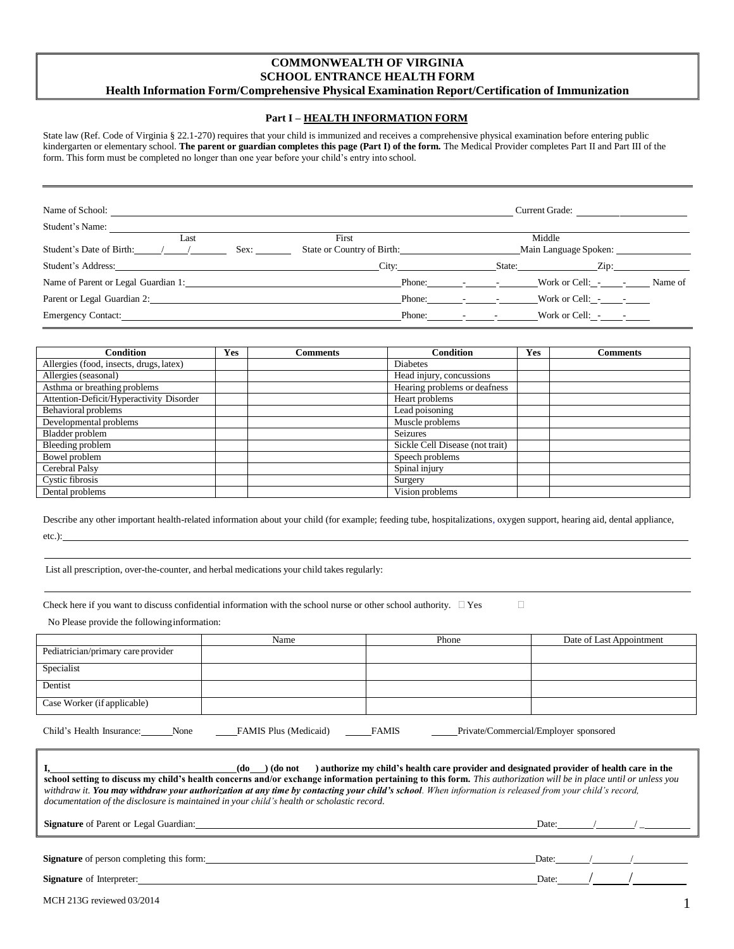### **COMMONWEALTH OF VIRGINIA SCHOOL ENTRANCE HEALTH FORM Health Information Form/Comprehensive Physical Examination Report/Certification of Immunization**

### **Part I – HEALTH INFORMATION FORM**

State law (Ref. Code of Virginia § 22.1-270) requires that your child is immunized and receives a comprehensive physical examination before entering public kindergarten or elementary school. **The parent or guardian completes this page (Part I) of the form.** The Medical Provider completes Part II and Part III of the form. This form must be completed no longer than one year before your child's entry into school.

| Name of School:                     | Current Grade:             |            |                       |         |
|-------------------------------------|----------------------------|------------|-----------------------|---------|
| Student's Name:                     |                            |            |                       |         |
| Last                                | First                      |            | Middle                |         |
| Student's Date of Birth:<br>Sex:    | State or Country of Birth: |            | Main Language Spoken: |         |
| Student's Address:                  | City:                      |            | Zip:<br>State:        |         |
| Name of Parent or Legal Guardian 1: |                            | Phone: - - | Work or Cell: $\sim$  | Name of |
| Parent or Legal Guardian 2:         | Phone:                     |            |                       |         |
| Emergency Contact:                  | Phone:                     |            | Work or Cell: $\sim$  |         |

| <b>Condition</b>                         | Yes | Comments | <b>Condition</b>                | Yes | <b>Comments</b> |
|------------------------------------------|-----|----------|---------------------------------|-----|-----------------|
| Allergies (food, insects, drugs, latex)  |     |          | <b>Diabetes</b>                 |     |                 |
| Allergies (seasonal)                     |     |          | Head injury, concussions        |     |                 |
| Asthma or breathing problems             |     |          | Hearing problems or deafness    |     |                 |
| Attention-Deficit/Hyperactivity Disorder |     |          | Heart problems                  |     |                 |
| Behavioral problems                      |     |          | Lead poisoning                  |     |                 |
| Developmental problems                   |     |          | Muscle problems                 |     |                 |
| Bladder problem                          |     |          | Seizures                        |     |                 |
| Bleeding problem                         |     |          | Sickle Cell Disease (not trait) |     |                 |
| Bowel problem                            |     |          | Speech problems                 |     |                 |
| Cerebral Palsy                           |     |          | Spinal injury                   |     |                 |
| Cystic fibrosis                          |     |          | Surgery                         |     |                 |
| Dental problems                          |     |          | Vision problems                 |     |                 |

Describe any other important health-related information about your child (for example; feeding tube, hospitalizations, oxygen support, hearing aid, dental appliance, etc.):

List all prescription, over-the-counter, and herbal medications your child takes regularly:

|  |  |  |  | Check here if you want to discuss confidential information with the school nurse or other school authority. $\Box$ Yes |  |  |
|--|--|--|--|------------------------------------------------------------------------------------------------------------------------|--|--|
|--|--|--|--|------------------------------------------------------------------------------------------------------------------------|--|--|

No Please provide the followinginformation:

|                                    | Name                         | Phone        | Date of Last Appointment              |
|------------------------------------|------------------------------|--------------|---------------------------------------|
| Pediatrician/primary care provider |                              |              |                                       |
| Specialist                         |                              |              |                                       |
| Dentist                            |                              |              |                                       |
| Case Worker (if applicable)        |                              |              |                                       |
| Child's Health Insurance:<br>None  | <b>FAMIS Plus (Medicaid)</b> | <b>FAMIS</b> | Private/Commercial/Employer sponsored |
|                                    |                              |              |                                       |

| ) authorize my child's health care provider and designated provider of health care in the<br>$(do)$ (do not<br>school setting to discuss my child's health concerns and/or exchange information pertaining to this form. This authorization will be in place until or unless you<br>withdraw it. You may withdraw your authorization at any time by contacting your child's school. When information is released from your child's record,<br>documentation of the disclosure is maintained in your child's health or scholastic record. |       |  |                                         |  |  |  |  |  |
|------------------------------------------------------------------------------------------------------------------------------------------------------------------------------------------------------------------------------------------------------------------------------------------------------------------------------------------------------------------------------------------------------------------------------------------------------------------------------------------------------------------------------------------|-------|--|-----------------------------------------|--|--|--|--|--|
| <b>Signature</b> of Parent or Legal Guardian:                                                                                                                                                                                                                                                                                                                                                                                                                                                                                            |       |  | Date: $\qquad \qquad / \qquad \qquad /$ |  |  |  |  |  |
| <b>Signature</b> of person completing this form:                                                                                                                                                                                                                                                                                                                                                                                                                                                                                         | Date: |  |                                         |  |  |  |  |  |
| <b>Signature</b> of Interpreter:                                                                                                                                                                                                                                                                                                                                                                                                                                                                                                         | Date: |  |                                         |  |  |  |  |  |

| MCH 213G reviewed 03/2014 |  |
|---------------------------|--|
|                           |  |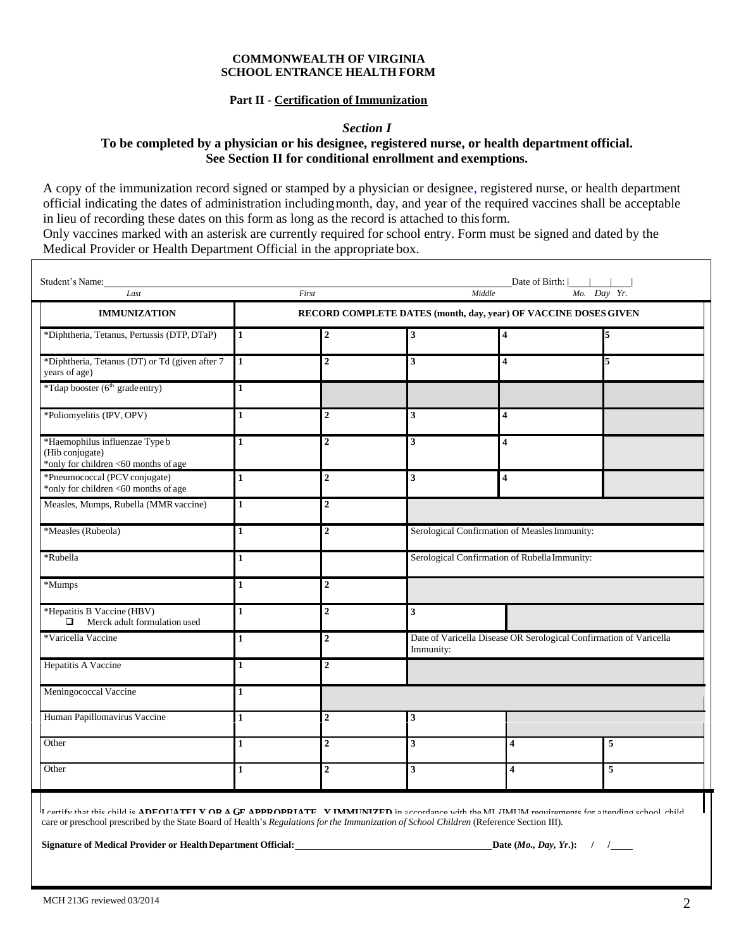#### **COMMONWEALTH OF VIRGINIA SCHOOL ENTRANCE HEALTH FORM**

# **Part II - Certification of Immunization**

*Section I*

# **To be completed by a physician or his designee, registered nurse, or health department official. See Section II for conditional enrollment and exemptions.**

A copy of the immunization record signed or stamped by a physician or designee, registered nurse, or health department official indicating the dates of administration includingmonth, day, and year of the required vaccines shall be acceptable in lieu of recording these dates on this form as long as the record is attached to thisform.

Only vaccines marked with an asterisk are currently required for school entry. Form must be signed and dated by the Medical Provider or Health Department Official in the appropriate box.

| Date of Birth: $\vert$ $\vert$<br>Student's Name:<br>Middle<br>Mo. Day Yr.<br>Last<br>First |                                                                 |                  |                                                                                 |                                               |   |  |  |
|---------------------------------------------------------------------------------------------|-----------------------------------------------------------------|------------------|---------------------------------------------------------------------------------|-----------------------------------------------|---|--|--|
| <b>IMMUNIZATION</b>                                                                         | RECORD COMPLETE DATES (month, day, year) OF VACCINE DOSES GIVEN |                  |                                                                                 |                                               |   |  |  |
| *Diphtheria, Tetanus, Pertussis (DTP, DTaP)                                                 | $\mathbf{1}$                                                    | $\boldsymbol{2}$ | 3                                                                               | 4                                             | 5 |  |  |
| *Diphtheria, Tetanus (DT) or Td (given after 7<br>years of age)                             | 11                                                              | $\overline{2}$   | 3                                                                               | 4                                             |   |  |  |
| *Tdap booster (6 <sup>th</sup> gradeentry)                                                  | $\mathbf{1}$                                                    |                  |                                                                                 |                                               |   |  |  |
| *Poliomyelitis (IPV, OPV)                                                                   | $\mathbf{1}$                                                    | $\overline{2}$   | 3 <sup>1</sup>                                                                  | $\overline{\mathbf{4}}$                       |   |  |  |
| *Haemophilus influenzae Type b<br>(Hib conjugate)<br>*only for children <60 months of age   | 1                                                               | $\overline{2}$   | $\mathbf{3}$                                                                    | $\overline{\mathbf{4}}$                       |   |  |  |
| *Pneumococcal (PCV conjugate)<br>*only for children <60 months of age                       | $\mathbf{1}$                                                    | $\overline{2}$   | $\mathbf{3}$                                                                    | $\overline{\mathbf{4}}$                       |   |  |  |
| Measles, Mumps, Rubella (MMR vaccine)                                                       | $\mathbf{1}$                                                    | $\overline{2}$   |                                                                                 |                                               |   |  |  |
| *Measles (Rubeola)                                                                          | $\mathbf{1}$                                                    | $\overline{2}$   | Serological Confirmation of Measles Immunity:                                   |                                               |   |  |  |
| *Rubella                                                                                    | 1                                                               |                  |                                                                                 | Serological Confirmation of Rubella Immunity: |   |  |  |
| *Mumps                                                                                      | 1                                                               | $\boldsymbol{2}$ |                                                                                 |                                               |   |  |  |
| *Hepatitis B Vaccine (HBV)<br>$\Box$<br>Merck adult formulation used                        | 1                                                               | $\overline{2}$   | 3                                                                               |                                               |   |  |  |
| *Varicella Vaccine                                                                          | 1                                                               | $\overline{2}$   | Date of Varicella Disease OR Serological Confirmation of Varicella<br>Immunity: |                                               |   |  |  |
| Hepatitis A Vaccine                                                                         | 1                                                               | $\overline{2}$   |                                                                                 |                                               |   |  |  |
| Meningococcal Vaccine                                                                       | $\mathbf{1}$                                                    |                  |                                                                                 |                                               |   |  |  |
| Human Papillomavirus Vaccine                                                                | $\mathbf{1}$                                                    | $\overline{2}$   | 3                                                                               |                                               |   |  |  |
| Other                                                                                       | 1                                                               | $\boldsymbol{2}$ | 3 <sup>1</sup>                                                                  | 4                                             | 5 |  |  |
| Other                                                                                       | 1                                                               | $\boldsymbol{2}$ | 3                                                                               | 4                                             | 5 |  |  |

**\* Required vaccine** care or preschool prescribed by the State Board of Health's *Regulations forthe Immunization of School Children* (Reference Section III). **Leartify that this child is <code>ADEQUATELY OR</code> <code>A GE</code> <code>APPROPRIATELY IMMUNIZED</code> in accordance with the MILIMUM requirements for a Itending school, child**  $\sim$ 

Other **1 2 3 4 5**

**Signature of Medical Provider or Health Department Official: Date (***Mo., Day, Yr.***): / / /**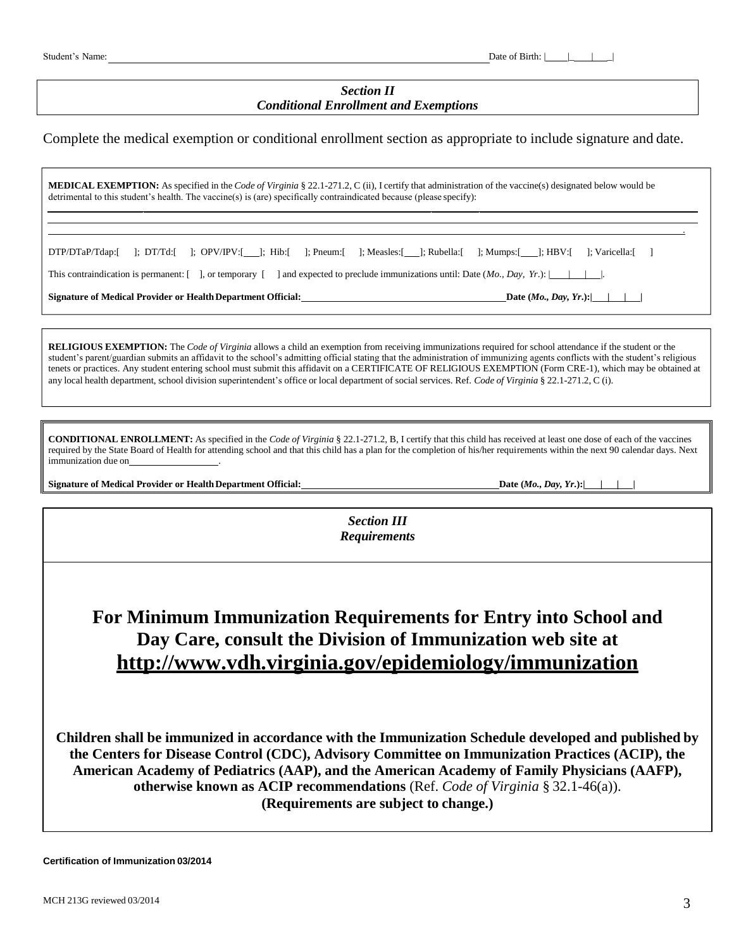# *Section II Conditional Enrollment and Exemptions*

Complete the medical exemption or conditional enrollment section as appropriate to include signature and date.

**MEDICAL EXEMPTION:** As specified in the *Code of Virginia* § 22.1-271.2, C (ii), I certify that administration of the vaccine(s) designated below would be detrimental to this student's health. The vaccine(s) is (are) specifically contraindicated because (please specify):

| This contraindication is permanent: $\lceil \quad \rceil$ , or temporary $\lceil \quad \rceil$ |  |  |  | ] and expected to preclude immunizations until: Date $(Mo, Day, Yr.)$ : $\vert \vert \vert$ |                         |  |
|------------------------------------------------------------------------------------------------|--|--|--|---------------------------------------------------------------------------------------------|-------------------------|--|
| Signature of Medical Provider or Health Department Official:                                   |  |  |  |                                                                                             | Date $(Mo., Day, Yr.):$ |  |

**RELIGIOUS EXEMPTION:** The *Code of Virginia* allows a child an exemption from receiving immunizations required for school attendance if the student or the student's parent/guardian submits an affidavit to the school's admitting official stating that the administration of immunizing agents conflicts with the student's religious tenets or practices. Any student entering school must submit this affidavit on a CERTIFICATE OF RELIGIOUS EXEMPTION (Form CRE-1), which may be obtained at any local health department, school division superintendent's office or local department of social services. Ref. *Code of Virginia* § 22.1-271.2, C (i).

**CONDITIONAL ENROLLMENT:** As specified in the *Code of Virginia* § 22.1-271.2, B, I certify that this child has received at least one dose of each of the vaccines required by the State Board of Health for attending school and that this child has a plan for the completion of his/her requirements within the next 90 calendar days. Next immunization due on\_

**Signature of Medical Provider or HealthDepartment Official: Date (***Mo., Day, Yr***.):| | | |**

*Section III Requirements*

# **For Minimum Immunization Requirements for Entry into School and Day Care, consult the Division of Immunization web site at <http://www.vdh.virginia.gov/epidemiology/immunization>**

**Children shall be immunized in accordance with the Immunization Schedule developed and published by the Centers for Disease Control (CDC), Advisory Committee on Immunization Practices (ACIP), the American Academy of Pediatrics (AAP), and the American Academy of Family Physicians (AAFP), otherwise known as ACIP recommendations** (Ref. *Code of Virginia* § 32.1-46(a)). **(Requirements are subject to change.)**

.